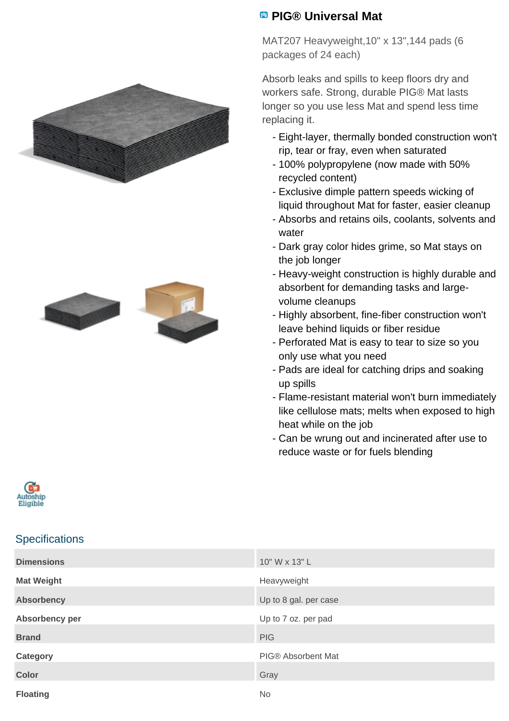



## **<sup>98</sup> PIG® Universal Mat**

MAT207 Heavyweight,10" x 13",144 pads (6 packages of 24 each)

Absorb leaks and spills to keep floors dry and workers safe. Strong, durable PIG® Mat lasts longer so you use less Mat and spend less time replacing it.

- Eight-layer, thermally bonded construction won't rip, tear or fray, even when saturated
- 100% polypropylene (now made with 50% recycled content)
- Exclusive dimple pattern speeds wicking of liquid throughout Mat for faster, easier cleanup
- Absorbs and retains oils, coolants, solvents and water
- Dark gray color hides grime, so Mat stays on the job longer
- Heavy-weight construction is highly durable and absorbent for demanding tasks and largevolume cleanups
- Highly absorbent, fine-fiber construction won't leave behind liquids or fiber residue
- Perforated Mat is easy to tear to size so you only use what you need
- Pads are ideal for catching drips and soaking up spills
- Flame-resistant material won't burn immediately like cellulose mats; melts when exposed to high heat while on the job
- Can be wrung out and incinerated after use to reduce waste or for fuels blending



## **Specifications**

| <b>Dimensions</b> | 10" W x 13" L             |
|-------------------|---------------------------|
| <b>Mat Weight</b> | Heavyweight               |
| <b>Absorbency</b> | Up to 8 gal. per case     |
| Absorbency per    | Up to 7 oz. per pad       |
| <b>Brand</b>      | <b>PIG</b>                |
| Category          | <b>PIG® Absorbent Mat</b> |
| <b>Color</b>      | Gray                      |
| <b>Floating</b>   | <b>No</b>                 |